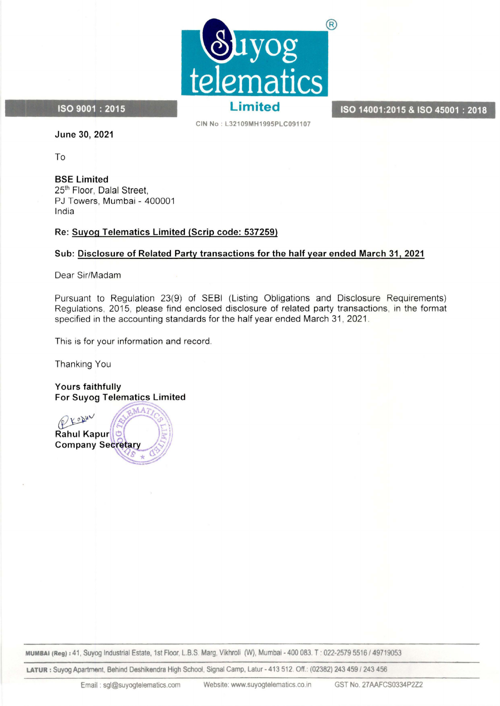

ISO 14001:2015 & ISO 45001 : 2018

ISO 9001 : 2015

CIN No: L32109MH1995PLC091107

June 30, 2021

To

BSE Limited 25<sup>th</sup> Floor, Dalal Street, PJ Towers, Mumbai- 400001 India

# Re: Suyog Telematics Limited (Scrip code: 537259)

# Sub: Disclosure of Related Party transactions for the half year ended March 31, 2021

Dear Sir/Madam

Pursuant to Regulation 23(9) of SEBI (Listing Obligations and Disclosure Requirements) Regulations, 2015, please find enclosed disclosure of related party transactions, in the format specified in the accounting standards for the half year ended March 31, 2021.

This is for your information and record.

Thanking You

Yours faithfully **For Suyog Telematics Limited** 



MUMBAI (Reg): 41, Suyog Industrial Estate, 1st Floor, L.B.S Marg, Vikhroli (JV), Mumbai- 400 083. T: 022-2579 5516/49719053

LATUR: Suyog Apartment, Behind Deshikendra High School, Signal Camp, Latur- 413 512. Off.: (02382) 243 459/243 456